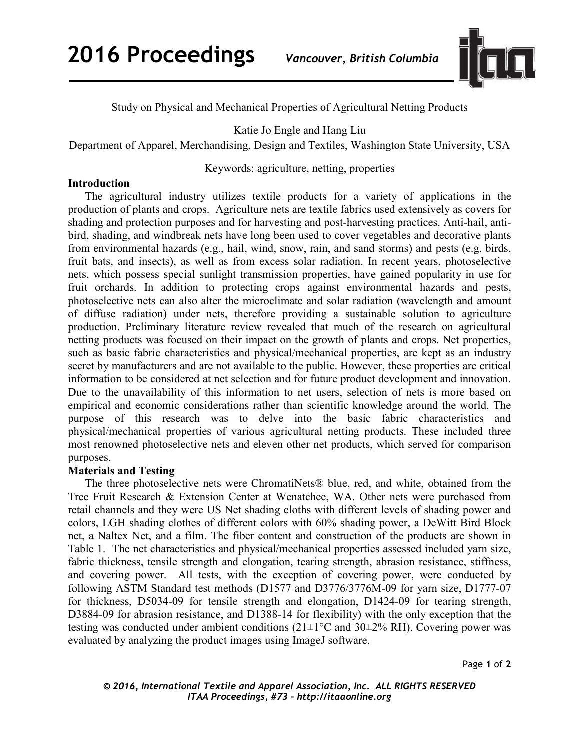**2016 Proceedings** *Vancouver, British Columbia*



Study on Physical and Mechanical Properties of Agricultural Netting Products

Katie Jo Engle and Hang Liu

Department of Apparel, Merchandising, Design and Textiles, Washington State University, USA

Keywords: agriculture, netting, properties

## **Introduction**

The agricultural industry utilizes textile products for a variety of applications in the production of plants and crops. Agriculture nets are textile fabrics used extensively as covers for shading and protection purposes and for harvesting and post-harvesting practices. Anti-hail, antibird, shading, and windbreak nets have long been used to cover vegetables and decorative plants from environmental hazards (e.g., hail, wind, snow, rain, and sand storms) and pests (e.g. birds, fruit bats, and insects), as well as from excess solar radiation. In recent years, photoselective nets, which possess special sunlight transmission properties, have gained popularity in use for fruit orchards. In addition to protecting crops against environmental hazards and pests, photoselective nets can also alter the microclimate and solar radiation (wavelength and amount of diffuse radiation) under nets, therefore providing a sustainable solution to agriculture production. Preliminary literature review revealed that much of the research on agricultural netting products was focused on their impact on the growth of plants and crops. Net properties, such as basic fabric characteristics and physical/mechanical properties, are kept as an industry secret by manufacturers and are not available to the public. However, these properties are critical information to be considered at net selection and for future product development and innovation. Due to the unavailability of this information to net users, selection of nets is more based on empirical and economic considerations rather than scientific knowledge around the world. The purpose of this research was to delve into the basic fabric characteristics and physical/mechanical properties of various agricultural netting products. These included three most renowned photoselective nets and eleven other net products, which served for comparison purposes.

## **Materials and Testing**

The three photoselective nets were ChromatiNets® blue, red, and white, obtained from the Tree Fruit Research & Extension Center at Wenatchee, WA. Other nets were purchased from retail channels and they were US Net shading cloths with different levels of shading power and colors, LGH shading clothes of different colors with 60% shading power, a DeWitt Bird Block net, a Naltex Net, and a film. The fiber content and construction of the products are shown in Table 1. The net characteristics and physical/mechanical properties assessed included yarn size, fabric thickness, tensile strength and elongation, tearing strength, abrasion resistance, stiffness, and covering power. All tests, with the exception of covering power, were conducted by following ASTM Standard test methods (D1577 and D3776/3776M-09 for yarn size, D1777-07 for thickness, D5034-09 for tensile strength and elongation, D1424-09 for tearing strength, D3884-09 for abrasion resistance, and D1388-14 for flexibility) with the only exception that the testing was conducted under ambient conditions  $(21\pm1\degree C \text{ and } 30\pm2\% \text{ RH})$ . Covering power was evaluated by analyzing the product images using ImageJ software.

Page **1** of **2** 

*© 2016, International Textile and Apparel Association, Inc. ALL RIGHTS RESERVED ITAA Proceedings, #73 – http://itaaonline.org*